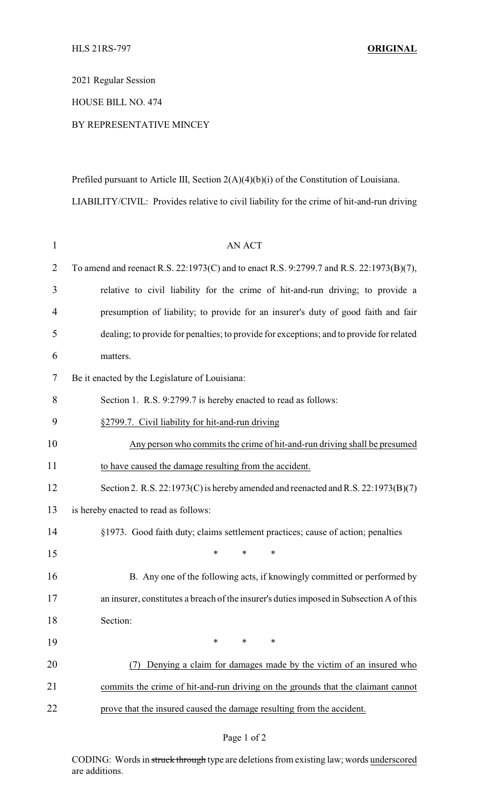2021 Regular Session

HOUSE BILL NO. 474

## BY REPRESENTATIVE MINCEY

Prefiled pursuant to Article III, Section 2(A)(4)(b)(i) of the Constitution of Louisiana. LIABILITY/CIVIL: Provides relative to civil liability for the crime of hit-and-run driving

| $\mathbf{1}$ | <b>AN ACT</b>                                                                            |
|--------------|------------------------------------------------------------------------------------------|
| 2            | To amend and reenact R.S. 22:1973(C) and to enact R.S. 9:2799.7 and R.S. 22:1973(B)(7),  |
| 3            | relative to civil liability for the crime of hit-and-run driving; to provide a           |
| 4            | presumption of liability; to provide for an insurer's duty of good faith and fair        |
| 5            | dealing; to provide for penalties; to provide for exceptions; and to provide for related |
| 6            | matters.                                                                                 |
| 7            | Be it enacted by the Legislature of Louisiana:                                           |
| 8            | Section 1. R.S. 9:2799.7 is hereby enacted to read as follows:                           |
| 9            | §2799.7. Civil liability for hit-and-run driving                                         |
| 10           | Any person who commits the crime of hit-and-run driving shall be presumed                |
| 11           | to have caused the damage resulting from the accident.                                   |
| 12           | Section 2. R.S. 22:1973(C) is hereby amended and reenacted and R.S. 22:1973(B)(7)        |
| 13           | is hereby enacted to read as follows:                                                    |
| 14           | §1973. Good faith duty; claims settlement practices; cause of action; penalties          |
| 15           | *<br>*<br>∗                                                                              |
| 16           | B. Any one of the following acts, if knowingly committed or performed by                 |
| 17           | an insurer, constitutes a breach of the insurer's duties imposed in Subsection A of this |
| 18           | Section:                                                                                 |
| 19           | $\ast$<br>$\ast$<br>*                                                                    |
| 20           | Denying a claim for damages made by the victim of an insured who<br>(7)                  |
| 21           | commits the crime of hit-and-run driving on the grounds that the claimant cannot         |
| 22           | prove that the insured caused the damage resulting from the accident.                    |

## Page 1 of 2

CODING: Words in struck through type are deletions from existing law; words underscored are additions.